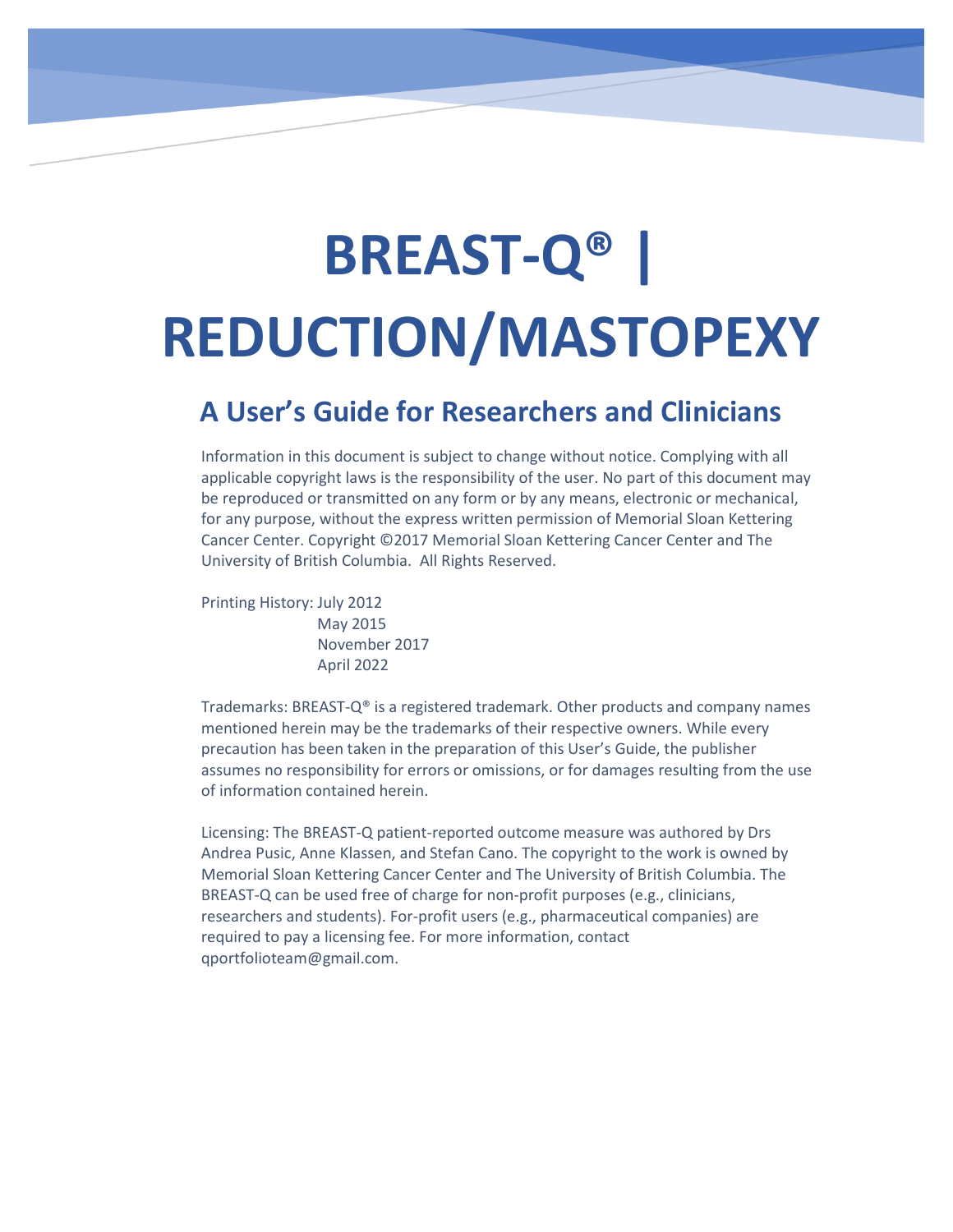# **BREAST-Q® | REDUCTION/MASTOPEXY**

## **A User's Guide for Researchers and Clinicians**

Information in this document is subject to change without notice. Complying with all applicable copyright laws is the responsibility of the user. No part of this document may be reproduced or transmitted on any form or by any means, electronic or mechanical, for any purpose, without the express written permission of Memorial Sloan Kettering Cancer Center. Copyright ©2017 Memorial Sloan Kettering Cancer Center and The University of British Columbia. All Rights Reserved.

Printing History: July 2012

 May 2015 November 2017 April 2022

Trademarks: BREAST-Q® is a registered trademark. Other products and company names mentioned herein may be the trademarks of their respective owners. While every precaution has been taken in the preparation of this User's Guide, the publisher assumes no responsibility for errors or omissions, or for damages resulting from the use of information contained herein.

Licensing: The BREAST-Q patient-reported outcome measure was authored by Drs Andrea Pusic, Anne Klassen, and Stefan Cano. The copyright to the work is owned by Memorial Sloan Kettering Cancer Center and The University of British Columbia. The BREAST-Q can be used free of charge for non-profit purposes (e.g., clinicians, researchers and students). For-profit users (e.g., pharmaceutical companies) are required to pay a licensing fee. For more information, contact qportfolioteam@gmail.com.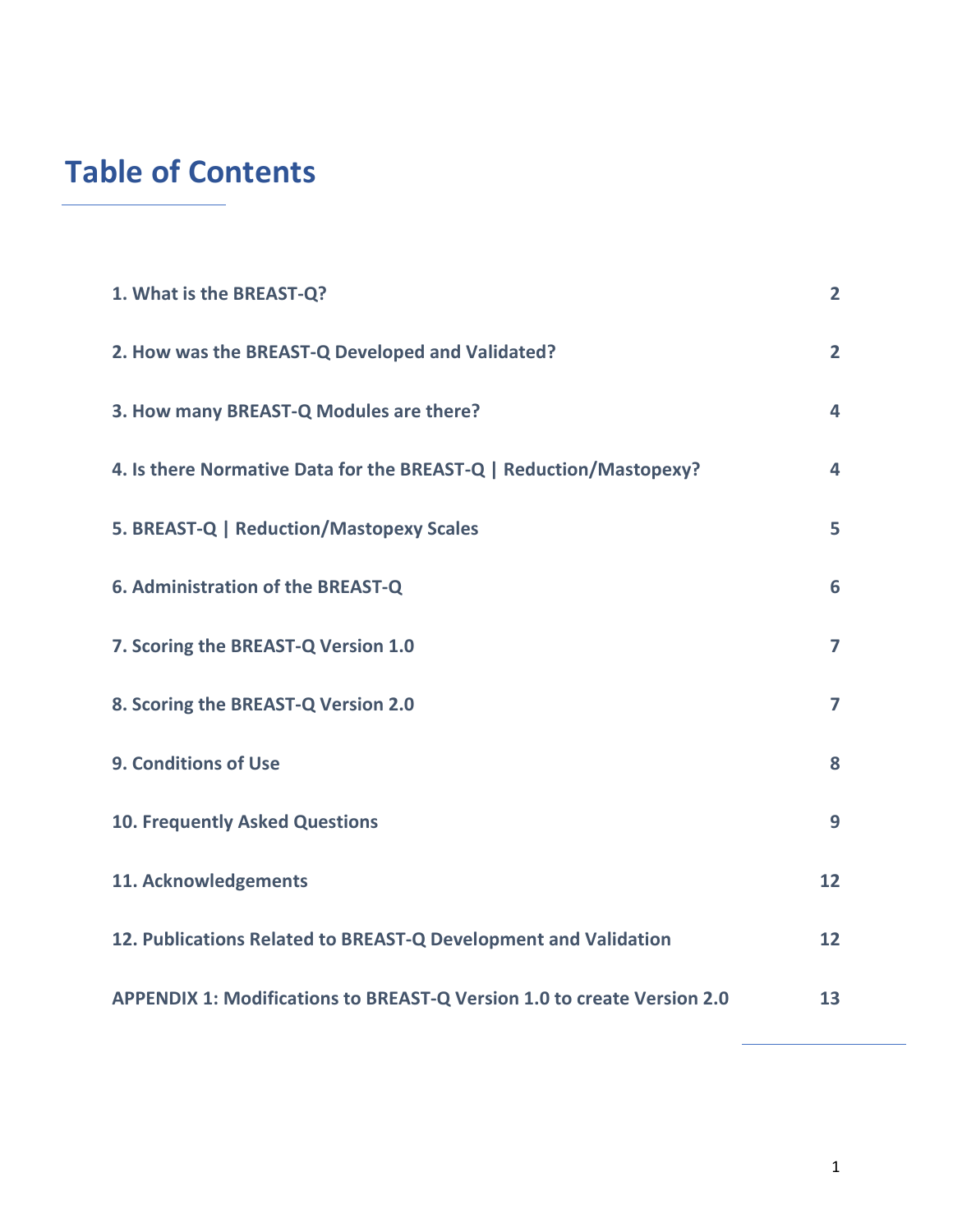## **Table of Contents**

| 1. What is the BREAST-Q?                                                       | $\overline{2}$ |
|--------------------------------------------------------------------------------|----------------|
| 2. How was the BREAST-Q Developed and Validated?                               | $\overline{2}$ |
| 3. How many BREAST-Q Modules are there?                                        | 4              |
| 4. Is there Normative Data for the BREAST-Q   Reduction/Mastopexy?             | 4              |
| 5. BREAST-Q   Reduction/Mastopexy Scales                                       | 5              |
| 6. Administration of the BREAST-Q                                              | 6              |
| 7. Scoring the BREAST-Q Version 1.0                                            | 7              |
| 8. Scoring the BREAST-Q Version 2.0                                            | 7              |
| 9. Conditions of Use                                                           | 8              |
| <b>10. Frequently Asked Questions</b>                                          | 9              |
| 11. Acknowledgements                                                           | 12             |
| 12. Publications Related to BREAST-Q Development and Validation                | 12             |
| <b>APPENDIX 1: Modifications to BREAST-Q Version 1.0 to create Version 2.0</b> | 13             |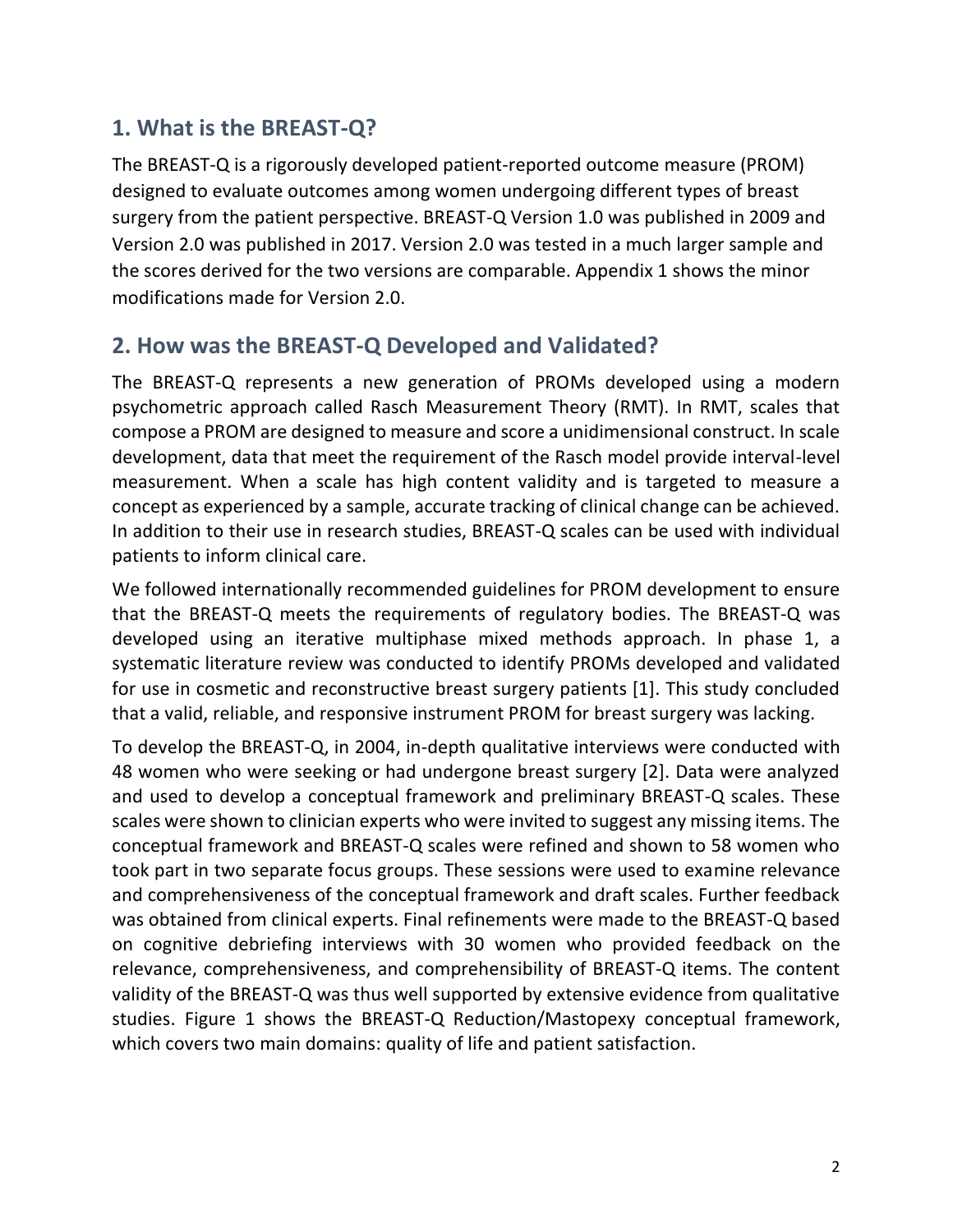## <span id="page-2-0"></span>**1. What is the BREAST-Q?**

The BREAST-Q is a rigorously developed patient-reported outcome measure (PROM) designed to evaluate outcomes among women undergoing different types of breast surgery from the patient perspective. BREAST-Q Version 1.0 was published in 2009 and Version 2.0 was published in 2017. Version 2.0 was tested in a much larger sample and the scores derived for the two versions are comparable. Appendix 1 shows the minor modifications made for Version 2.0.

## <span id="page-2-1"></span>**2. How was the BREAST-Q Developed and Validated?**

The BREAST-Q represents a new generation of PROMs developed using a modern psychometric approach called Rasch Measurement Theory (RMT). In RMT, scales that compose a PROM are designed to measure and score a unidimensional construct. In scale development, data that meet the requirement of the Rasch model provide interval-level measurement. When a scale has high content validity and is targeted to measure a concept as experienced by a sample, accurate tracking of clinical change can be achieved. In addition to their use in research studies, BREAST-Q scales can be used with individual patients to inform clinical care.

We followed internationally recommended guidelines for PROM development to ensure that the BREAST-Q meets the requirements of regulatory bodies. The BREAST-Q was developed using an iterative multiphase mixed methods approach. In phase 1, a systematic literature review was conducted to identify PROMs developed and validated for use in cosmetic and reconstructive breast surgery patients [1]. This study concluded that a valid, reliable, and responsive instrument PROM for breast surgery was lacking.

To develop the BREAST-Q, in 2004, in-depth qualitative interviews were conducted with 48 women who were seeking or had undergone breast surgery [2]. Data were analyzed and used to develop a conceptual framework and preliminary BREAST-Q scales. These scales were shown to clinician experts who were invited to suggest any missing items. The conceptual framework and BREAST-Q scales were refined and shown to 58 women who took part in two separate focus groups. These sessions were used to examine relevance and comprehensiveness of the conceptual framework and draft scales. Further feedback was obtained from clinical experts. Final refinements were made to the BREAST-Q based on cognitive debriefing interviews with 30 women who provided feedback on the relevance, comprehensiveness, and comprehensibility of BREAST-Q items. The content validity of the BREAST-Q was thus well supported by extensive evidence from qualitative studies. Figure 1 shows the BREAST-Q Reduction/Mastopexy conceptual framework, which covers two main domains: quality of life and patient satisfaction.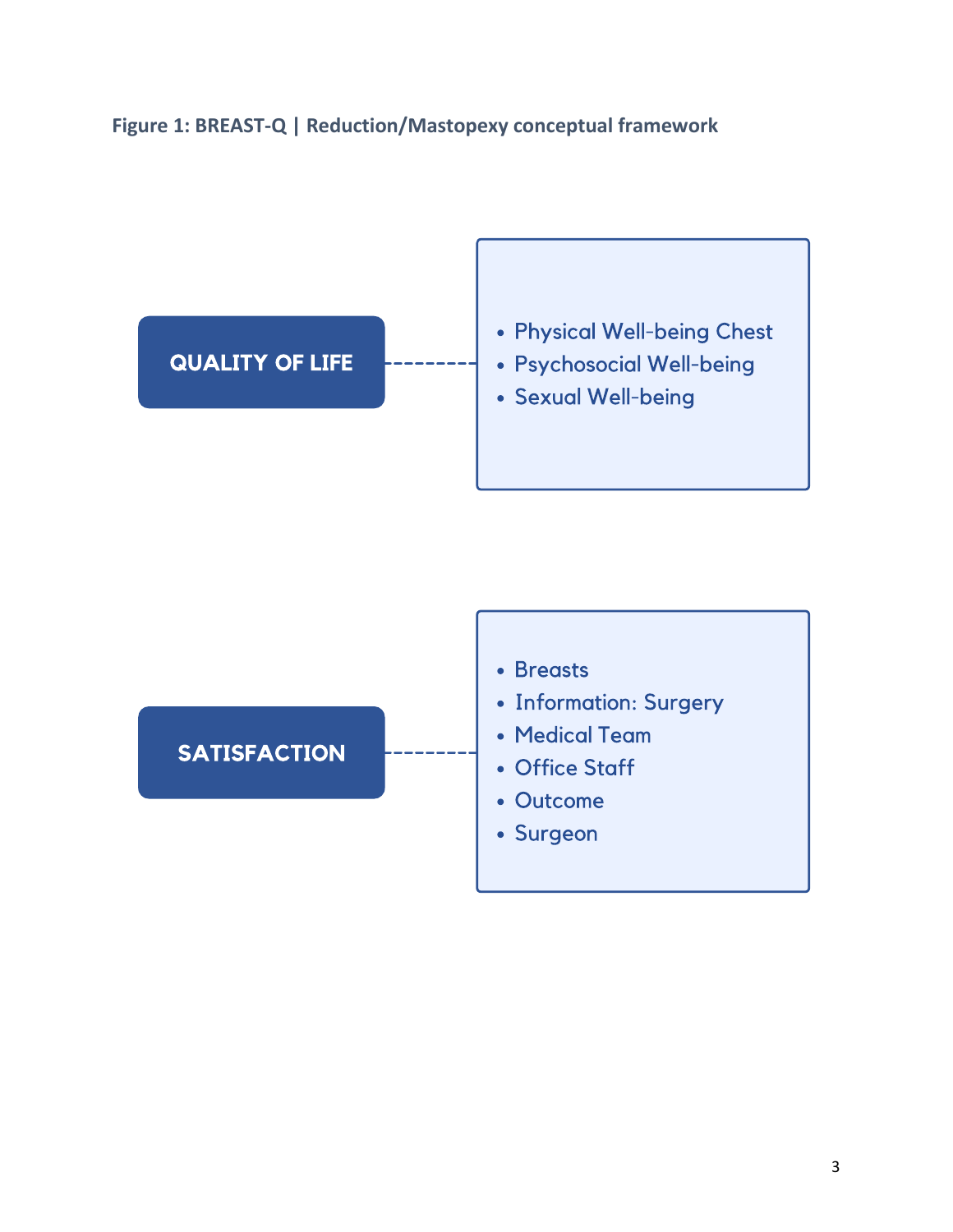### **Figure 1: BREAST-Q | Reduction/Mastopexy conceptual framework**

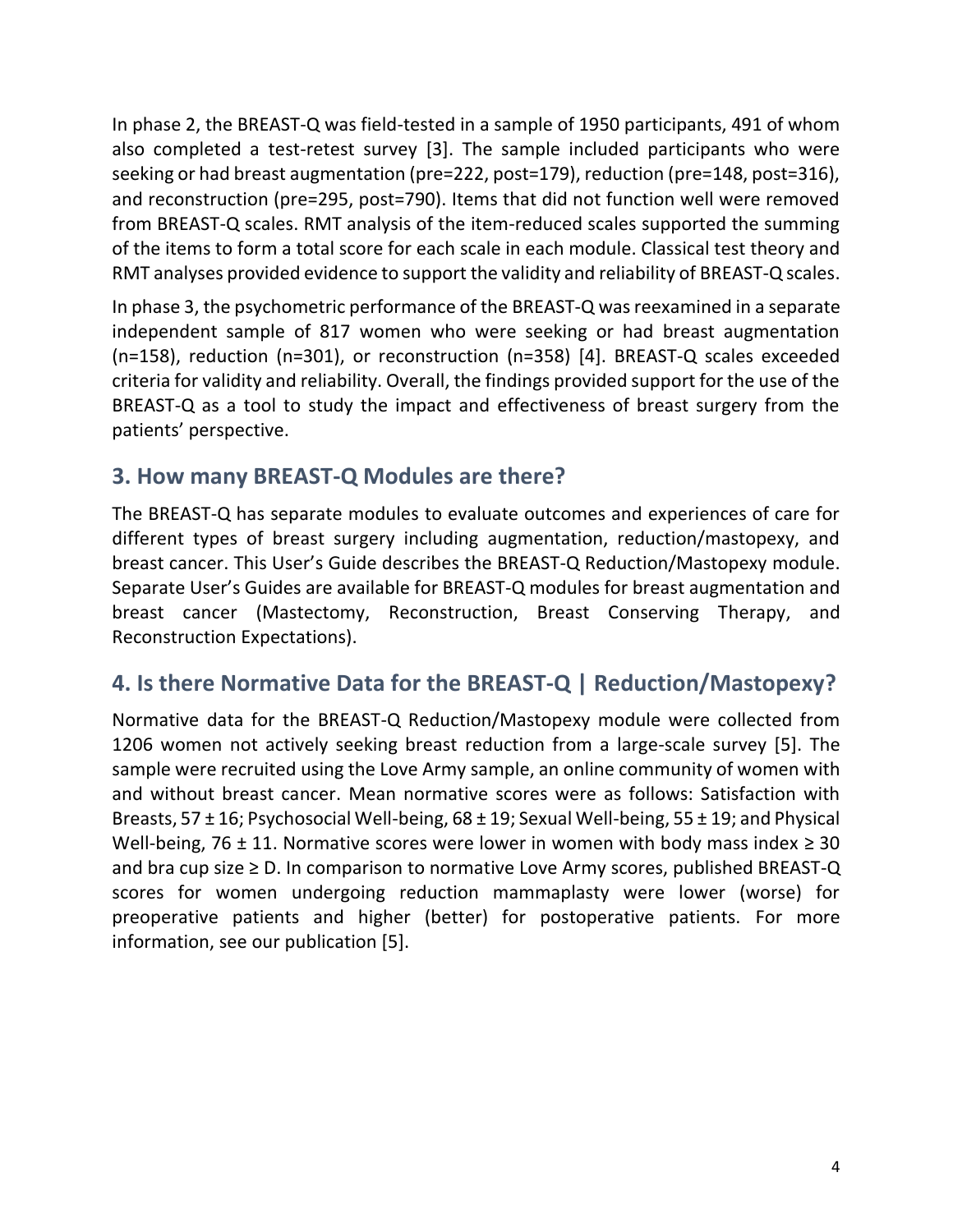In phase 2, the BREAST-Q was field-tested in a sample of 1950 participants, 491 of whom also completed a test-retest survey [3]. The sample included participants who were seeking or had breast augmentation (pre=222, post=179), reduction (pre=148, post=316), and reconstruction (pre=295, post=790). Items that did not function well were removed from BREAST-Q scales. RMT analysis of the item-reduced scales supported the summing of the items to form a total score for each scale in each module. Classical test theory and RMT analyses provided evidence to support the validity and reliability of BREAST-Q scales.

In phase 3, the psychometric performance of the BREAST-Q was reexamined in a separate independent sample of 817 women who were seeking or had breast augmentation (n=158), reduction (n=301), or reconstruction (n=358) [4]. BREAST-Q scales exceeded criteria for validity and reliability. Overall, the findings provided support for the use of the BREAST-Q as a tool to study the impact and effectiveness of breast surgery from the patients' perspective.

## <span id="page-4-0"></span>**3. How many BREAST-Q Modules are there?**

The BREAST-Q has separate modules to evaluate outcomes and experiences of care for different types of breast surgery including augmentation, reduction/mastopexy, and breast cancer. This User's Guide describes the BREAST-Q Reduction/Mastopexy module. Separate User's Guides are available for BREAST-Q modules for breast augmentation and breast cancer (Mastectomy, Reconstruction, Breast Conserving Therapy, and Reconstruction Expectations).

## <span id="page-4-1"></span>**4. Is there Normative Data for the BREAST-Q | Reduction/Mastopexy?**

Normative data for the BREAST-Q Reduction/Mastopexy module were collected from 1206 women not actively seeking breast reduction from a large-scale survey [5]. The sample were recruited using the Love Army sample, an online community of women with and without breast cancer. Mean normative scores were as follows: Satisfaction with Breasts, 57 ± 16; Psychosocial Well-being, 68 ± 19; Sexual Well-being, 55 ± 19; and Physical Well-being, 76  $\pm$  11. Normative scores were lower in women with body mass index  $\geq$  30 and bra cup size  $\geq$  D. In comparison to normative Love Army scores, published BREAST-Q scores for women undergoing reduction mammaplasty were lower (worse) for preoperative patients and higher (better) for postoperative patients. For more information, see our publication [5].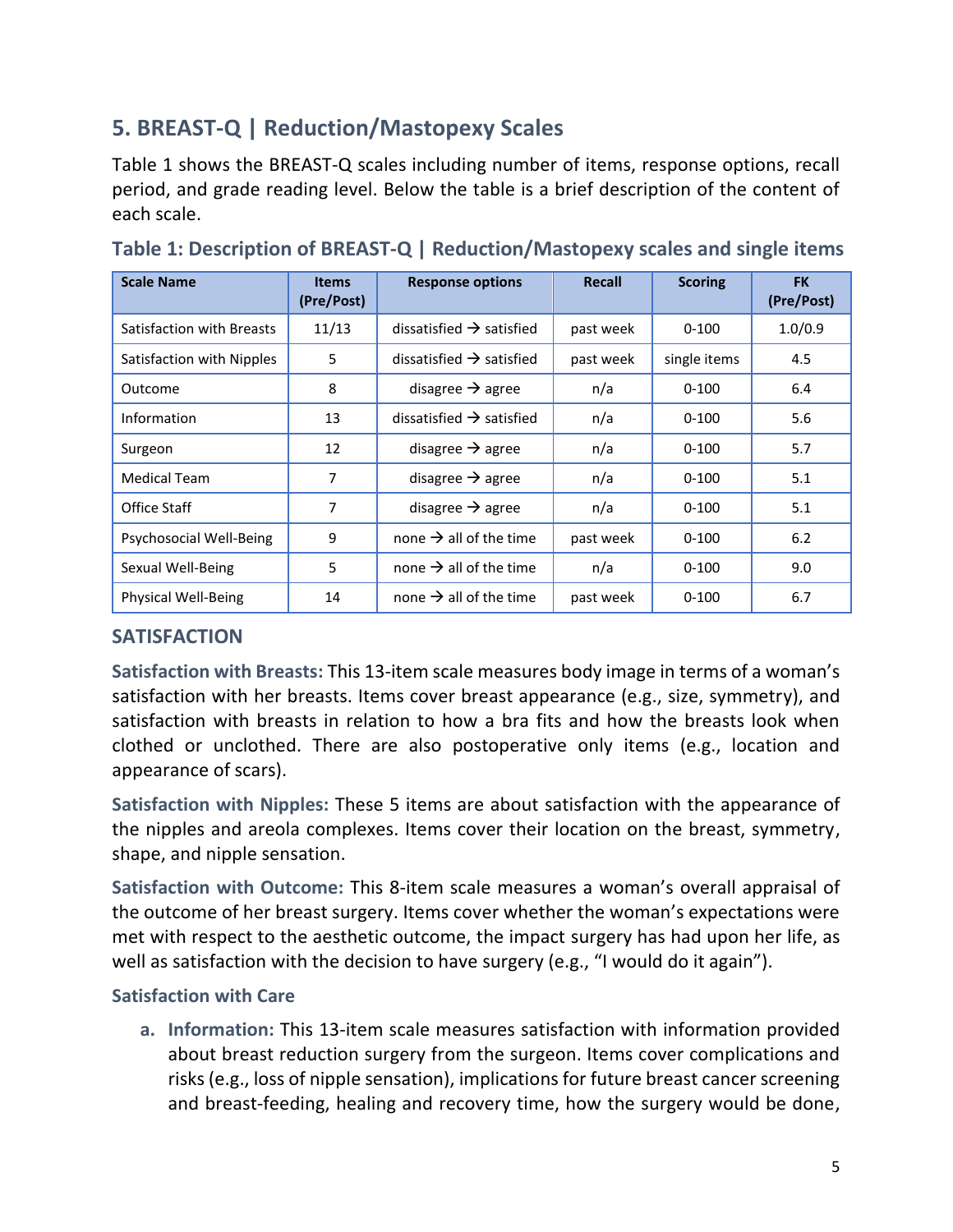## <span id="page-5-0"></span>**5. BREAST-Q | Reduction/Mastopexy Scales**

Table 1 shows the BREAST-Q scales including number of items, response options, recall period, and grade reading level. Below the table is a brief description of the content of each scale.

| <b>Scale Name</b>         | <b>Items</b><br>(Pre/Post) | <b>Response options</b>              | Recall    | <b>Scoring</b> | <b>FK</b><br>(Pre/Post) |
|---------------------------|----------------------------|--------------------------------------|-----------|----------------|-------------------------|
| Satisfaction with Breasts | 11/13                      | dissatisfied $\rightarrow$ satisfied | past week | $0 - 100$      | 1.0/0.9                 |
| Satisfaction with Nipples | 5                          | dissatisfied $\rightarrow$ satisfied | past week | single items   | 4.5                     |
| Outcome                   | 8                          | disagree $\rightarrow$ agree         | n/a       | $0 - 100$      | 6.4                     |
| Information               | 13                         | dissatisfied $\rightarrow$ satisfied | n/a       | $0 - 100$      | 5.6                     |
| Surgeon                   | 12                         | disagree $\rightarrow$ agree         | n/a       | $0 - 100$      | 5.7                     |
| <b>Medical Team</b>       | 7                          | disagree $\rightarrow$ agree         | n/a       | $0 - 100$      | 5.1                     |
| Office Staff              | 7                          | disagree $\rightarrow$ agree         | n/a       | $0 - 100$      | 5.1                     |
| Psychosocial Well-Being   | 9                          | none $\rightarrow$ all of the time   | past week | $0 - 100$      | 6.2                     |
| Sexual Well-Being         | 5                          | none $\rightarrow$ all of the time   | n/a       | $0 - 100$      | 9.0                     |
| Physical Well-Being       | 14                         | none $\rightarrow$ all of the time   | past week | $0 - 100$      | 6.7                     |

**Table 1: Description of BREAST-Q | Reduction/Mastopexy scales and single items**

#### **SATISFACTION**

**Satisfaction with Breasts:** This 13-item scale measures body image in terms of a woman's satisfaction with her breasts. Items cover breast appearance (e.g., size, symmetry), and satisfaction with breasts in relation to how a bra fits and how the breasts look when clothed or unclothed. There are also postoperative only items (e.g., location and appearance of scars).

**Satisfaction with Nipples:** These 5 items are about satisfaction with the appearance of the nipples and areola complexes. Items cover their location on the breast, symmetry, shape, and nipple sensation.

**Satisfaction with Outcome:** This 8-item scale measures a woman's overall appraisal of the outcome of her breast surgery. Items cover whether the woman's expectations were met with respect to the aesthetic outcome, the impact surgery has had upon her life, as well as satisfaction with the decision to have surgery (e.g., "I would do it again").

#### **Satisfaction with Care**

**a. Information:** This 13-item scale measures satisfaction with information provided about breast reduction surgery from the surgeon. Items cover complications and risks (e.g., loss of nipple sensation), implications for future breast cancer screening and breast-feeding, healing and recovery time, how the surgery would be done,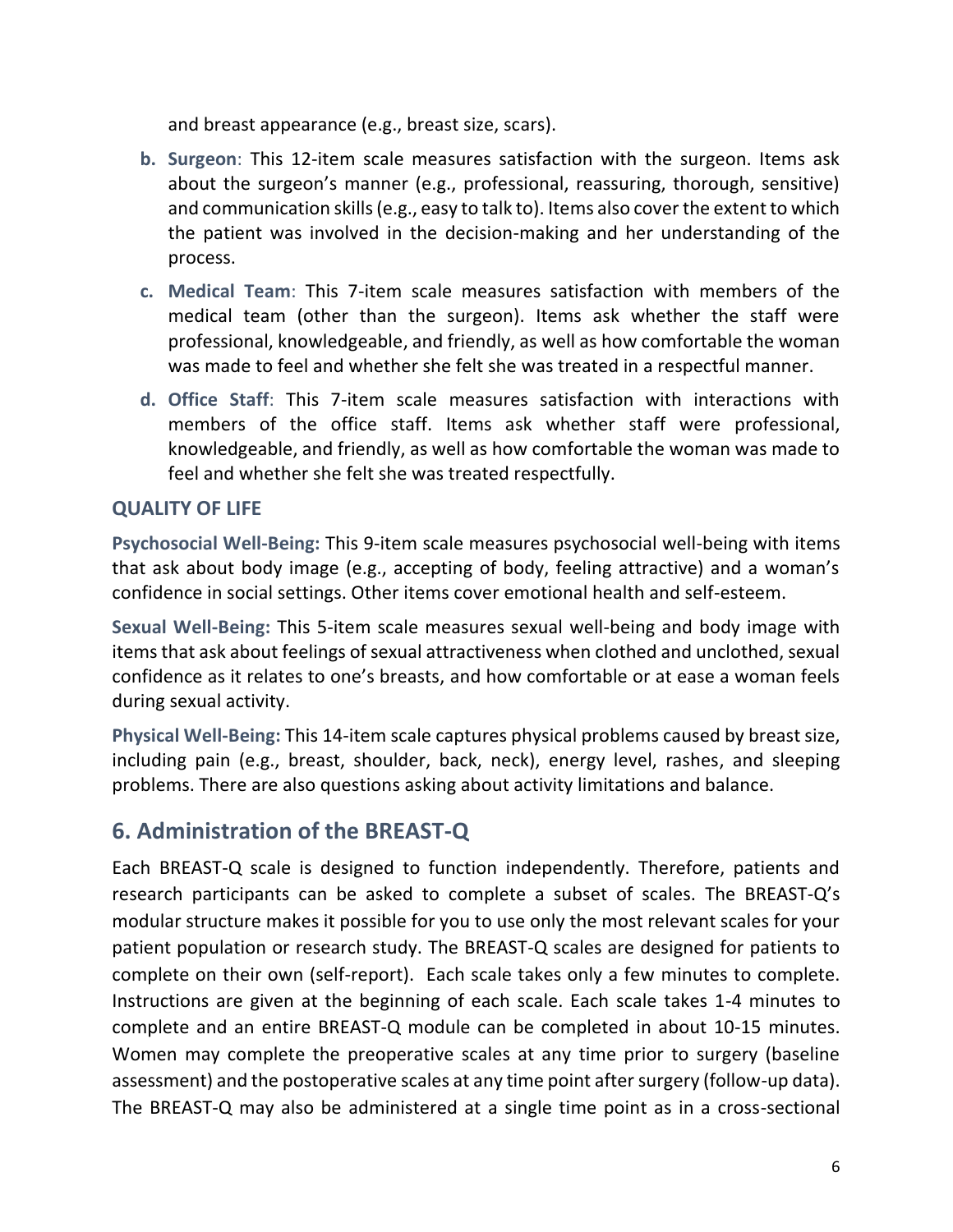and breast appearance (e.g., breast size, scars).

- **b. Surgeon**: This 12-item scale measures satisfaction with the surgeon. Items ask about the surgeon's manner (e.g., professional, reassuring, thorough, sensitive) and communication skills (e.g., easy to talk to). Items also cover the extent to which the patient was involved in the decision-making and her understanding of the process.
- **c. Medical Team**: This 7-item scale measures satisfaction with members of the medical team (other than the surgeon). Items ask whether the staff were professional, knowledgeable, and friendly, as well as how comfortable the woman was made to feel and whether she felt she was treated in a respectful manner.
- **d. Office Staff**: This 7-item scale measures satisfaction with interactions with members of the office staff. Items ask whether staff were professional, knowledgeable, and friendly, as well as how comfortable the woman was made to feel and whether she felt she was treated respectfully.

#### **QUALITY OF LIFE**

**Psychosocial Well-Being:** This 9-item scale measures psychosocial well-being with items that ask about body image (e.g., accepting of body, feeling attractive) and a woman's confidence in social settings. Other items cover emotional health and self-esteem.

**Sexual Well-Being:** This 5-item scale measures sexual well-being and body image with items that ask about feelings of sexual attractiveness when clothed and unclothed, sexual confidence as it relates to one's breasts, and how comfortable or at ease a woman feels during sexual activity.

**Physical Well-Being:** This 14-item scale captures physical problems caused by breast size, including pain (e.g., breast, shoulder, back, neck), energy level, rashes, and sleeping problems. There are also questions asking about activity limitations and balance.

## <span id="page-6-0"></span>**6. Administration of the BREAST-Q**

Each BREAST-Q scale is designed to function independently. Therefore, patients and research participants can be asked to complete a subset of scales. The BREAST-Q's modular structure makes it possible for you to use only the most relevant scales for your patient population or research study. The BREAST-Q scales are designed for patients to complete on their own (self-report). Each scale takes only a few minutes to complete. Instructions are given at the beginning of each scale. Each scale takes 1-4 minutes to complete and an entire BREAST-Q module can be completed in about 10-15 minutes. Women may complete the preoperative scales at any time prior to surgery (baseline assessment) and the postoperative scales at any time point after surgery (follow-up data). The BREAST-Q may also be administered at a single time point as in a cross-sectional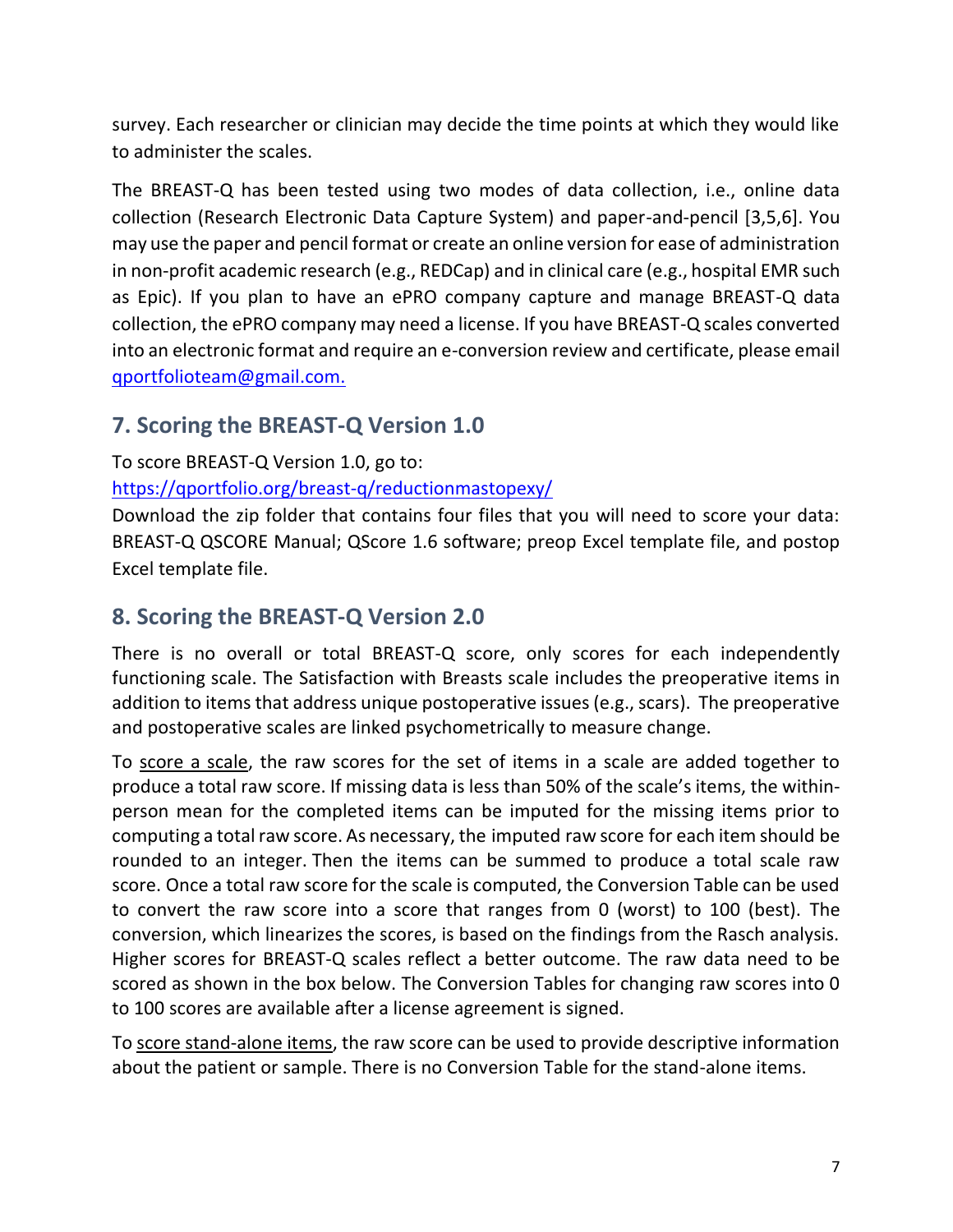survey. Each researcher or clinician may decide the time points at which they would like to administer the scales.

The BREAST-Q has been tested using two modes of data collection, i.e., online data collection (Research Electronic Data Capture System) and paper-and-pencil [3,5,6]. You may use the paper and pencil format or create an online version for ease of administration in non-profit academic research (e.g., REDCap) and in clinical care (e.g., hospital EMR such as Epic). If you plan to have an ePRO company capture and manage BREAST-Q data collection, the ePRO company may need a license. If you have BREAST-Q scales converted into an electronic format and require an e-conversion review and certificate, please email [qportfolioteam@gmail.com.](mailto:qportfolioteam@gmail.com)

## <span id="page-7-0"></span>**7. Scoring the BREAST-Q Version 1.0**

#### To score BREAST-Q Version 1.0, go to:

<https://qportfolio.org/breast-q/reductionmastopexy/>

Download the zip folder that contains four files that you will need to score your data: BREAST-Q QSCORE Manual; QScore 1.6 software; preop Excel template file, and postop Excel template file.

## <span id="page-7-1"></span>**8. Scoring the BREAST-Q Version 2.0**

There is no overall or total BREAST-Q score, only scores for each independently functioning scale. The Satisfaction with Breasts scale includes the preoperative items in addition to items that address unique postoperative issues (e.g., scars). The preoperative and postoperative scales are linked psychometrically to measure change.

To score a scale, the raw scores for the set of items in a scale are added together to produce a total raw score. If missing data is less than 50% of the scale's items, the withinperson mean for the completed items can be imputed for the missing items prior to computing a total raw score. As necessary, the imputed raw score for each item should be rounded to an integer. Then the items can be summed to produce a total scale raw score. Once a total raw score for the scale is computed, the Conversion Table can be used to convert the raw score into a score that ranges from 0 (worst) to 100 (best). The conversion, which linearizes the scores, is based on the findings from the Rasch analysis. Higher scores for BREAST-Q scales reflect a better outcome. The raw data need to be scored as shown in the box below. The Conversion Tables for changing raw scores into 0 to 100 scores are available after a license agreement is signed.

To score stand-alone items, the raw score can be used to provide descriptive information about the patient or sample. There is no Conversion Table for the stand-alone items.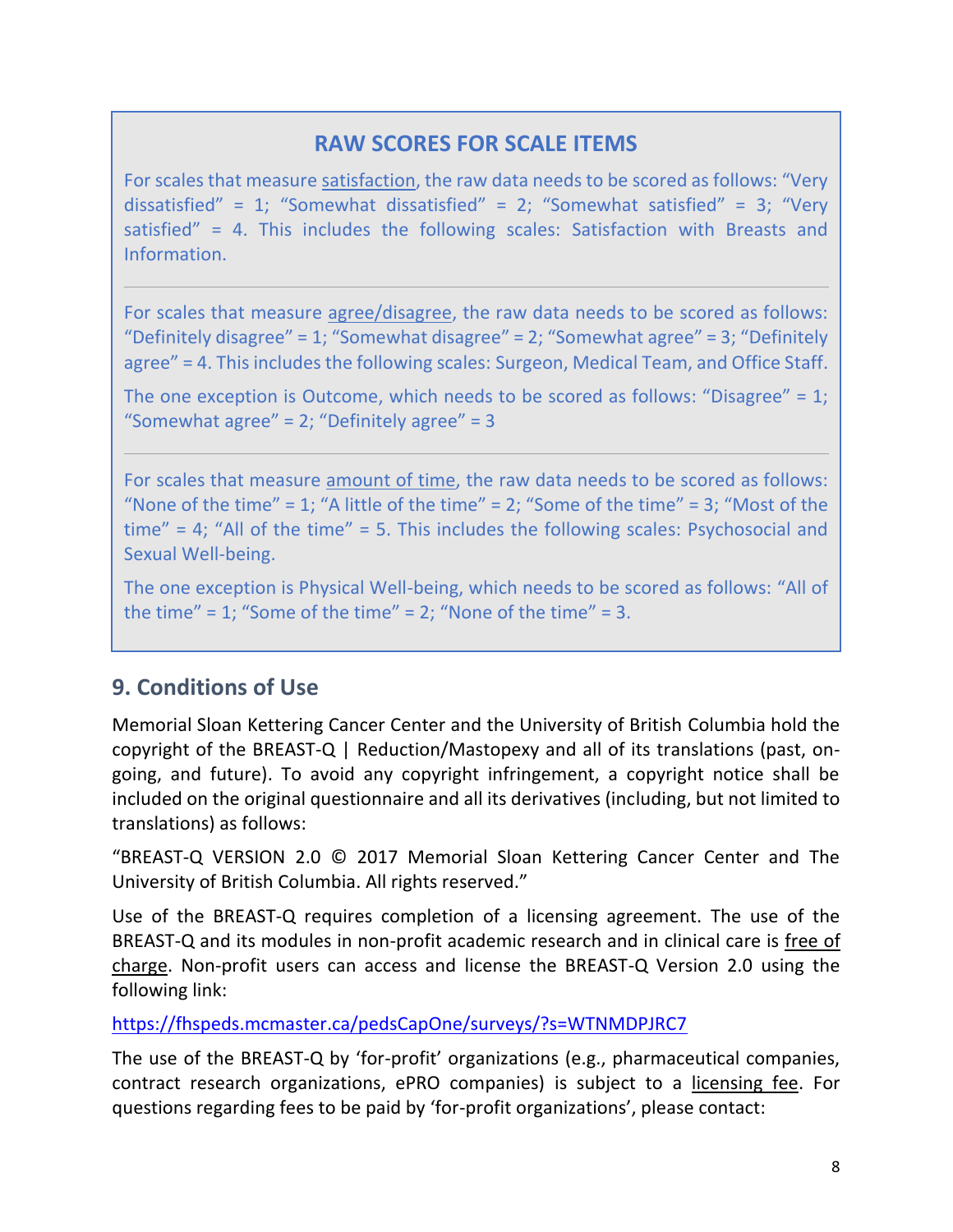## **RAW SCORES FOR SCALE ITEMS**

For scales that measure satisfaction, the raw data needs to be scored as follows: "Very dissatisfied" = 1; "Somewhat dissatisfied" = 2; "Somewhat satisfied" = 3; "Very satisfied" = 4. This includes the following scales: Satisfaction with Breasts and Information.

For scales that measure agree/disagree, the raw data needs to be scored as follows: "Definitely disagree" = 1; "Somewhat disagree" = 2; "Somewhat agree" = 3; "Definitely agree" = 4. This includes the following scales: Surgeon, Medical Team, and Office Staff.

The one exception is Outcome, which needs to be scored as follows: "Disagree" = 1; "Somewhat agree" =  $2$ ; "Definitely agree" =  $3$ 

For scales that measure amount of time, the raw data needs to be scored as follows: "None of the time" = 1; "A little of the time" = 2; "Some of the time" = 3; "Most of the time" = 4; "All of the time" = 5. This includes the following scales: Psychosocial and Sexual Well-being.

The one exception is Physical Well-being, which needs to be scored as follows: "All of the time" = 1; "Some of the time" = 2; "None of the time" = 3.

## <span id="page-8-0"></span>**9. Conditions of Use**

Memorial Sloan Kettering Cancer Center and the University of British Columbia hold the copyright of the BREAST-Q | Reduction/Mastopexy and all of its translations (past, ongoing, and future). To avoid any copyright infringement, a copyright notice shall be included on the original questionnaire and all its derivatives (including, but not limited to translations) as follows:

"BREAST-Q VERSION 2.0 © 2017 Memorial Sloan Kettering Cancer Center and The University of British Columbia. All rights reserved."

Use of the BREAST-Q requires completion of a licensing agreement. The use of the BREAST-Q and its modules in non-profit academic research and in clinical care is free of charge. Non-profit users can access and license the BREAST-Q Version 2.0 using the following link:

<https://fhspeds.mcmaster.ca/pedsCapOne/surveys/?s=WTNMDPJRC7>

The use of the BREAST-Q by 'for-profit' organizations (e.g., pharmaceutical companies, contract research organizations, ePRO companies) is subject to a licensing fee. For questions regarding fees to be paid by 'for-profit organizations', please contact: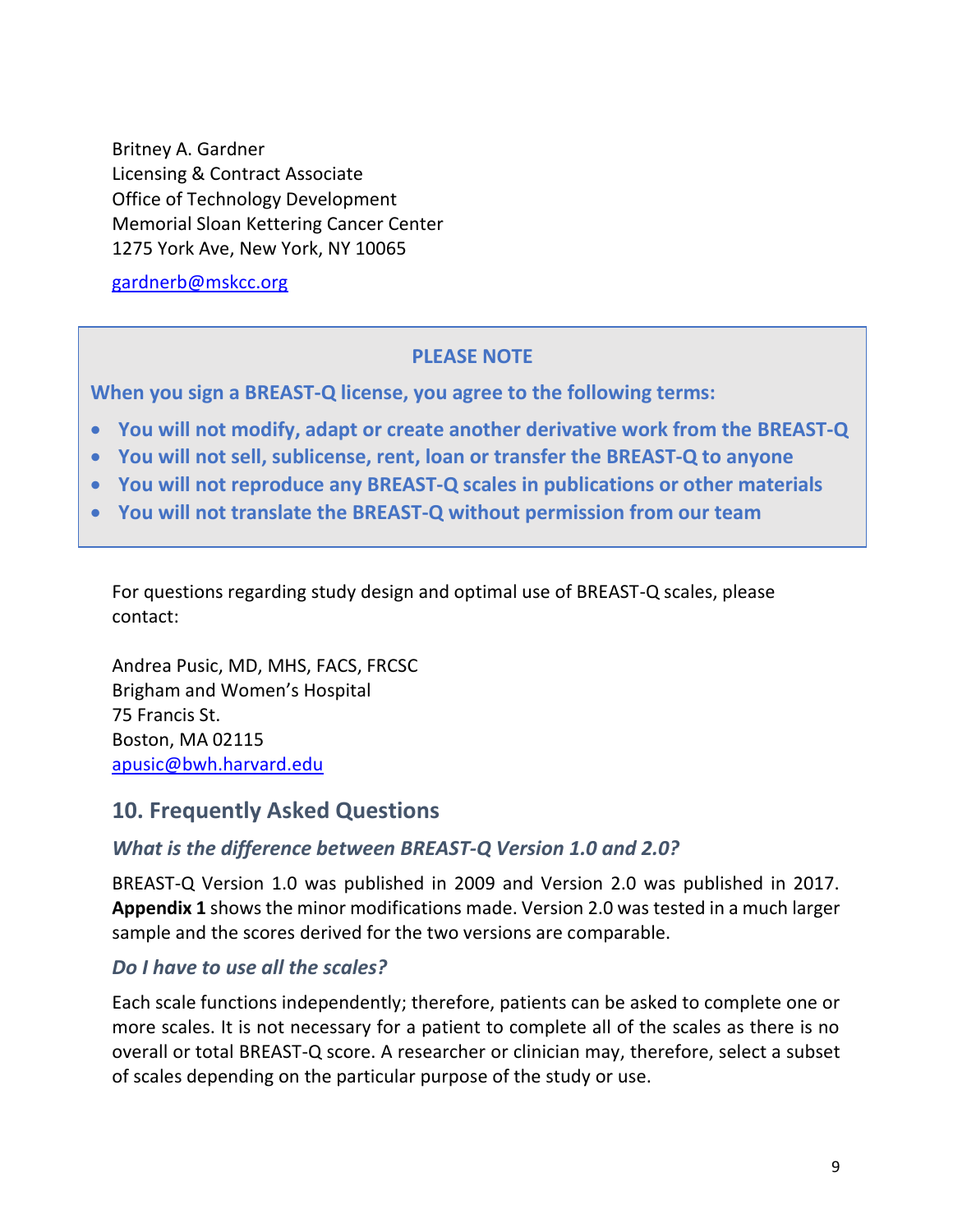Britney A. Gardner Licensing & Contract Associate Office of Technology Development Memorial Sloan Kettering Cancer Center 1275 York Ave, New York, NY 10065

[gardnerb@mskcc.org](mailto:gardnerb@mskcc.org)

#### **PLEASE NOTE**

**When you sign a BREAST-Q license, you agree to the following terms:**

- **You will not modify, adapt or create another derivative work from the BREAST-Q**
- **You will not sell, sublicense, rent, loan or transfer the BREAST-Q to anyone**
- **You will not reproduce any BREAST-Q scales in publications or other materials**
- **You will not translate the BREAST-Q without permission from our team**

For questions regarding study design and optimal use of BREAST-Q scales, please contact:

Andrea Pusic, MD, MHS, FACS, FRCSC Brigham and Women's Hospital 75 Francis St. Boston, MA 02115 [apusic@bwh.harvard.edu](mailto:apusic@bwh.harvard.edu)

#### <span id="page-9-0"></span>**10. Frequently Asked Questions**

#### *What is the difference between BREAST-Q Version 1.0 and 2.0?*

BREAST-Q Version 1.0 was published in 2009 and Version 2.0 was published in 2017. **Appendix 1** shows the minor modifications made. Version 2.0 was tested in a much larger sample and the scores derived for the two versions are comparable.

#### *Do I have to use all the scales?*

Each scale functions independently; therefore, patients can be asked to complete one or more scales. It is not necessary for a patient to complete all of the scales as there is no overall or total BREAST-Q score. A researcher or clinician may, therefore, select a subset of scales depending on the particular purpose of the study or use.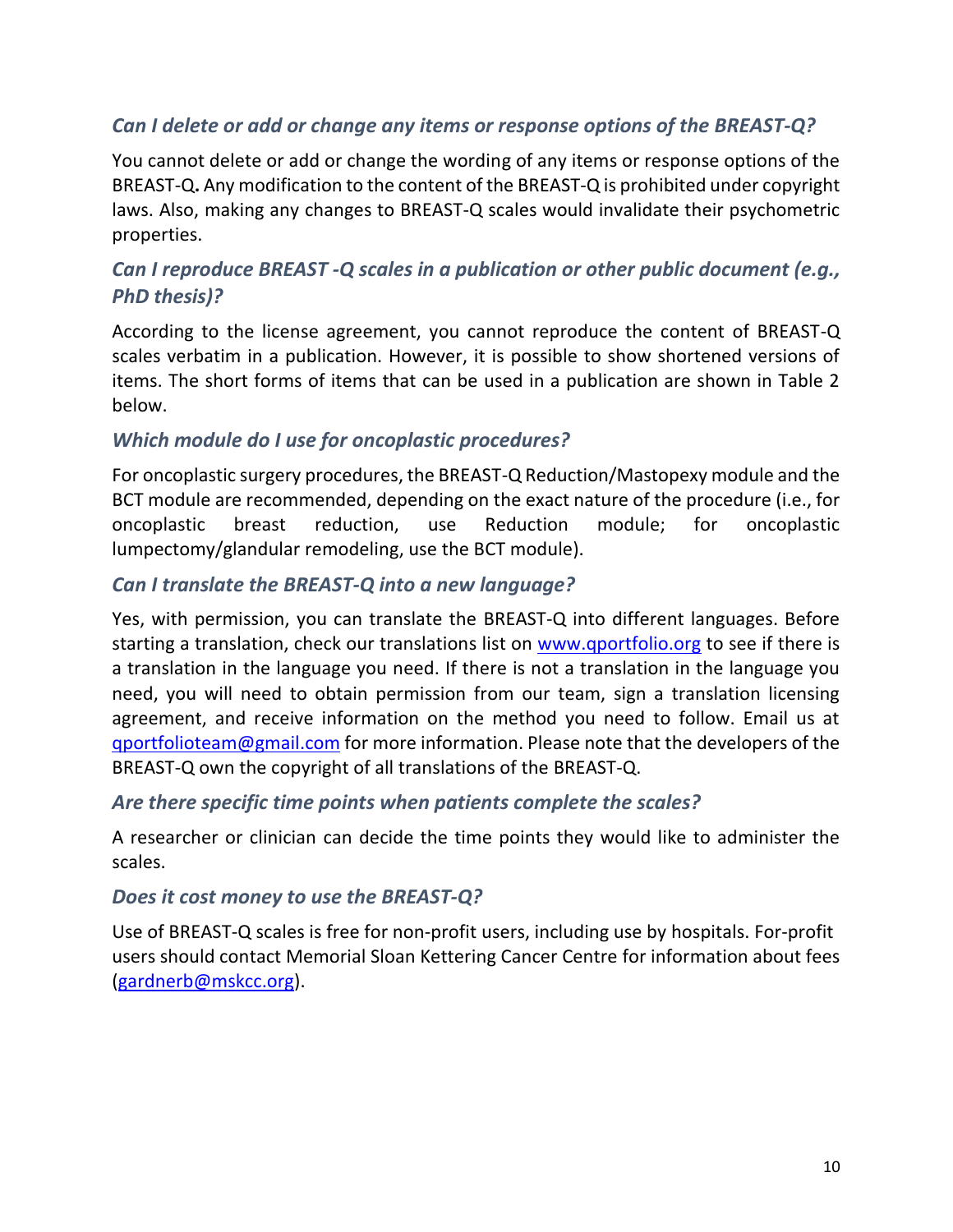### *Can I delete or add or change any items or response options of the BREAST-Q?*

You cannot delete or add or change the wording of any items or response options of the BREAST-Q**.** Any modification to the content of the BREAST-Q is prohibited under copyright laws. Also, making any changes to BREAST-Q scales would invalidate their psychometric properties.

### *Can I reproduce BREAST -Q scales in a publication or other public document (e.g., PhD thesis)?*

According to the license agreement, you cannot reproduce the content of BREAST-Q scales verbatim in a publication. However, it is possible to show shortened versions of items. The short forms of items that can be used in a publication are shown in Table 2 below.

#### *Which module do I use for oncoplastic procedures?*

For oncoplastic surgery procedures, the BREAST-Q Reduction/Mastopexy module and the BCT module are recommended, depending on the exact nature of the procedure (i.e., for oncoplastic breast reduction, use Reduction module; for oncoplastic lumpectomy/glandular remodeling, use the BCT module).

#### *Can I translate the BREAST-Q into a new language?*

Yes, with permission, you can translate the BREAST-Q into different languages. Before starting a translation, check our translations list on [www.qportfolio.org](http://www.qportfolio.org/) to see if there is a translation in the language you need. If there is not a translation in the language you need, you will need to obtain permission from our team, sign a translation licensing agreement, and receive information on the method you need to follow. Email us at [qportfolioteam@gmail.com](mailto:qportfolioteam@gmail.com) for more information. Please note that the developers of the BREAST-Q own the copyright of all translations of the BREAST-Q.

#### *Are there specific time points when patients complete the scales?*

A researcher or clinician can decide the time points they would like to administer the scales.

#### *Does it cost money to use the BREAST-Q?*

Use of BREAST-Q scales is free for non-profit users, including use by hospitals. For-profit users should contact Memorial Sloan Kettering Cancer Centre for information about fees [\(gardnerb@mskcc.org\)](mailto:gardnerb@mskcc.org).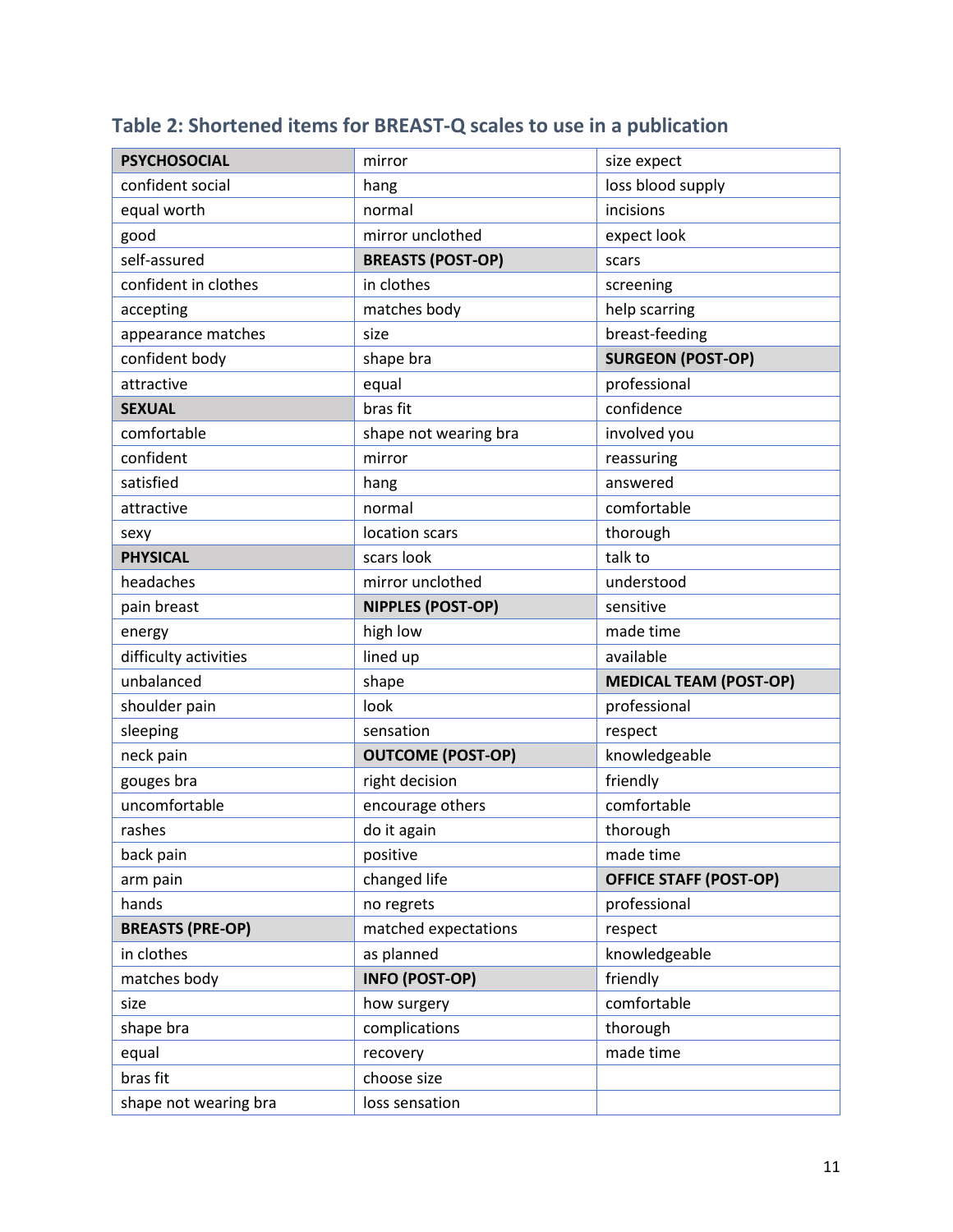| <b>PSYCHOSOCIAL</b>     | mirror                   | size expect                   |  |
|-------------------------|--------------------------|-------------------------------|--|
| confident social        | hang                     | loss blood supply             |  |
| equal worth             | normal                   | incisions                     |  |
| good                    | mirror unclothed         | expect look                   |  |
| self-assured            | <b>BREASTS (POST-OP)</b> | scars                         |  |
| confident in clothes    | in clothes               | screening                     |  |
| accepting               | matches body             | help scarring                 |  |
| appearance matches      | size                     | breast-feeding                |  |
| confident body          | shape bra                | <b>SURGEON (POST-OP)</b>      |  |
| attractive              | equal                    | professional                  |  |
| <b>SEXUAL</b>           | bras fit                 | confidence                    |  |
| comfortable             | shape not wearing bra    | involved you                  |  |
| confident               | mirror                   | reassuring                    |  |
| satisfied               | hang                     | answered                      |  |
| attractive              | normal                   | comfortable                   |  |
| sexy                    | location scars           | thorough                      |  |
| <b>PHYSICAL</b>         | scars look               | talk to                       |  |
| headaches               | mirror unclothed         | understood                    |  |
| pain breast             | NIPPLES (POST-OP)        | sensitive                     |  |
| energy                  | high low                 | made time                     |  |
| difficulty activities   | lined up                 | available                     |  |
| unbalanced              | shape                    | <b>MEDICAL TEAM (POST-OP)</b> |  |
| shoulder pain           | look                     | professional                  |  |
| sleeping                | sensation                | respect                       |  |
| neck pain               | <b>OUTCOME (POST-OP)</b> | knowledgeable                 |  |
| gouges bra              | right decision           | friendly                      |  |
| uncomfortable           | encourage others         | comfortable                   |  |
| rashes                  | do it again              | thorough                      |  |
| back pain               | positive                 | made time                     |  |
| arm pain                | changed life             | <b>OFFICE STAFF (POST-OP)</b> |  |
| hands                   | no regrets               | professional                  |  |
| <b>BREASTS (PRE-OP)</b> | matched expectations     | respect                       |  |
| in clothes              | as planned               | knowledgeable                 |  |
| matches body            | <b>INFO (POST-OP)</b>    | friendly                      |  |
| size                    |                          |                               |  |
|                         | how surgery              | comfortable                   |  |
| shape bra               | complications            | thorough                      |  |
| equal                   | recovery                 | made time                     |  |
| bras fit                | choose size              |                               |  |

## **Table 2: Shortened items for BREAST-Q scales to use in a publication**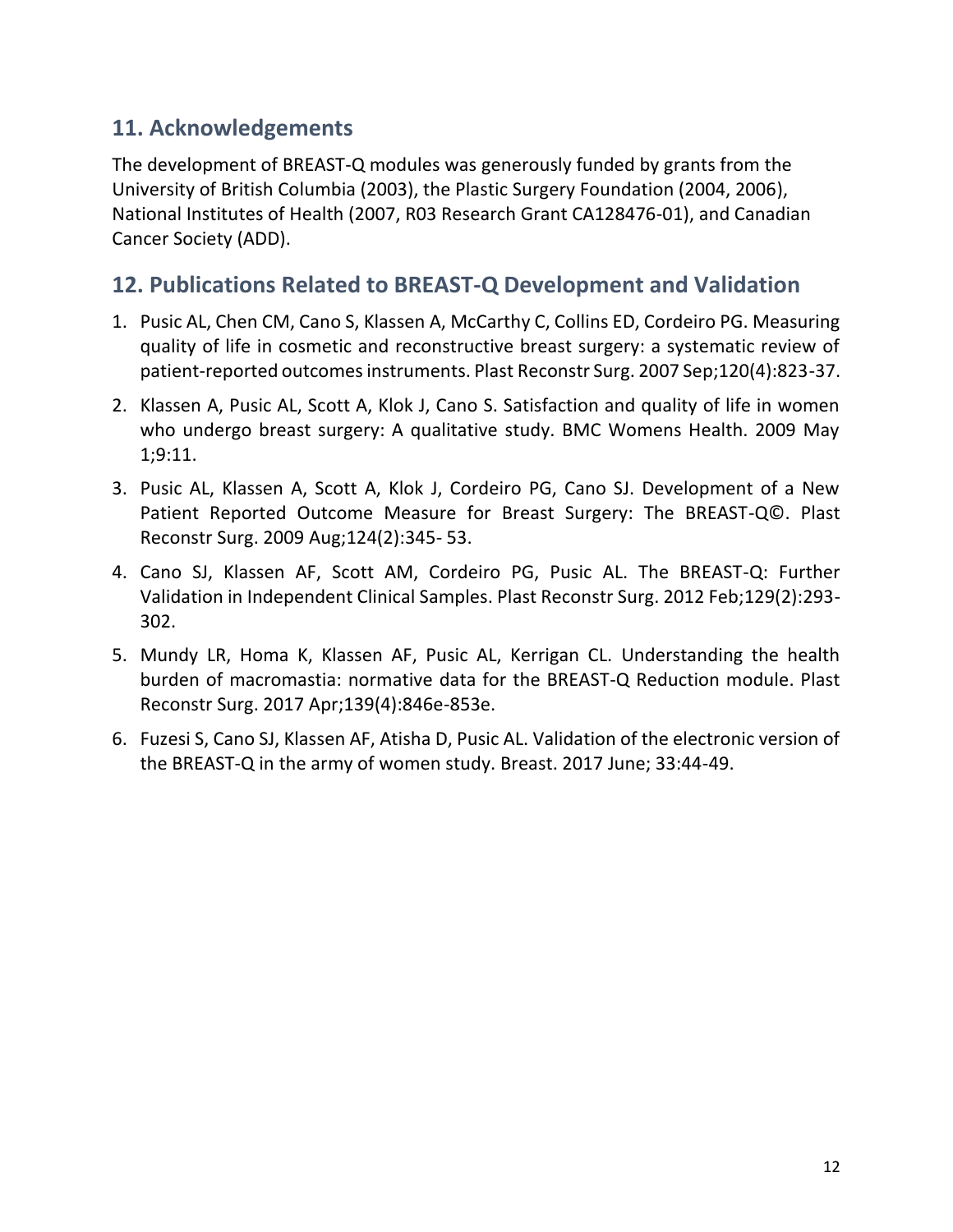## <span id="page-12-0"></span>**11. Acknowledgements**

The development of BREAST-Q modules was generously funded by grants from the University of British Columbia (2003), the Plastic Surgery Foundation (2004, 2006), National Institutes of Health (2007, R03 Research Grant CA128476-01), and Canadian Cancer Society (ADD).

## <span id="page-12-1"></span>**12. Publications Related to BREAST-Q Development and Validation**

- 1. Pusic AL, Chen CM, Cano S, Klassen A, McCarthy C, Collins ED, Cordeiro PG. Measuring quality of life in cosmetic and reconstructive breast surgery: a systematic review of patient-reported outcomes instruments. Plast Reconstr Surg. 2007 Sep;120(4):823-37.
- 2. Klassen A, Pusic AL, Scott A, Klok J, Cano S. Satisfaction and quality of life in women who undergo breast surgery: A qualitative study. BMC Womens Health. 2009 May 1;9:11.
- 3. Pusic AL, Klassen A, Scott A, Klok J, Cordeiro PG, Cano SJ. Development of a New Patient Reported Outcome Measure for Breast Surgery: The BREAST-Q©. Plast Reconstr Surg. 2009 Aug;124(2):345- 53.
- 4. Cano SJ, Klassen AF, Scott AM, Cordeiro PG, Pusic AL. The BREAST-Q: Further Validation in Independent Clinical Samples. Plast Reconstr Surg. 2012 Feb;129(2):293- 302.
- 5. Mundy LR, Homa K, Klassen AF, Pusic AL, Kerrigan CL. Understanding the health burden of macromastia: normative data for the BREAST-Q Reduction module. Plast Reconstr Surg. 2017 Apr;139(4):846e-853e.
- 6. Fuzesi S, Cano SJ, Klassen AF, Atisha D, Pusic AL. Validation of the electronic version of the BREAST-Q in the army of women study. Breast. 2017 June; 33:44-49.